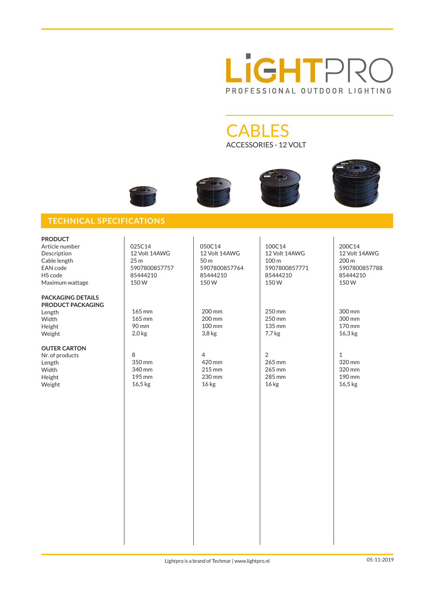

**CABLES** ACCESSORIES - 12 VOLT







## **TECHNICAL SPECIFICATIONS**

| <b>PRODUCT</b><br>Article number<br>Description<br>Cable length<br>EAN code<br>HS code<br>Maximum wattage | 025C14<br>12 Volt 14AWG<br>25 <sub>m</sub><br>5907800857757<br>85444210<br>150W | 050C14<br>12 Volt 14AWG<br>50 m<br>5907800857764<br>85444210<br>150W | 100C14<br>12 Volt 14AWG<br>100 m<br>5907800857771<br>85444210<br>150W | 200C14<br>12 Volt 14AWG<br>200 m<br>5907800857788<br>85444210<br>150W |
|-----------------------------------------------------------------------------------------------------------|---------------------------------------------------------------------------------|----------------------------------------------------------------------|-----------------------------------------------------------------------|-----------------------------------------------------------------------|
| <b>PACKAGING DETAILS</b><br><b>PRODUCT PACKAGING</b><br>Length<br>Width<br>Height<br>Weight               | 165 mm<br>165 mm<br>90 mm<br>$2,0$ kg                                           | 200 mm<br>200 mm<br>100 mm<br>$3,8$ kg                               | 250 mm<br>250 mm<br>135 mm<br>7,7 kg                                  | 300 mm<br>300 mm<br>170 mm<br>16,3 kg                                 |
| <b>OUTER CARTON</b><br>Nr. of products<br>Length<br>Width<br>Height<br>Weight                             | 8<br>350 mm<br>340 mm<br>195 mm<br>16,5 kg                                      | $\overline{4}$<br>420 mm<br>215 mm<br>230 mm<br>16 <sub>kg</sub>     | $\overline{2}$<br>265 mm<br>265 mm<br>285 mm<br>16 <sub>kg</sub>      | $\mathbf{1}$<br>320 mm<br>320 mm<br>190 mm<br>16,5 kg                 |